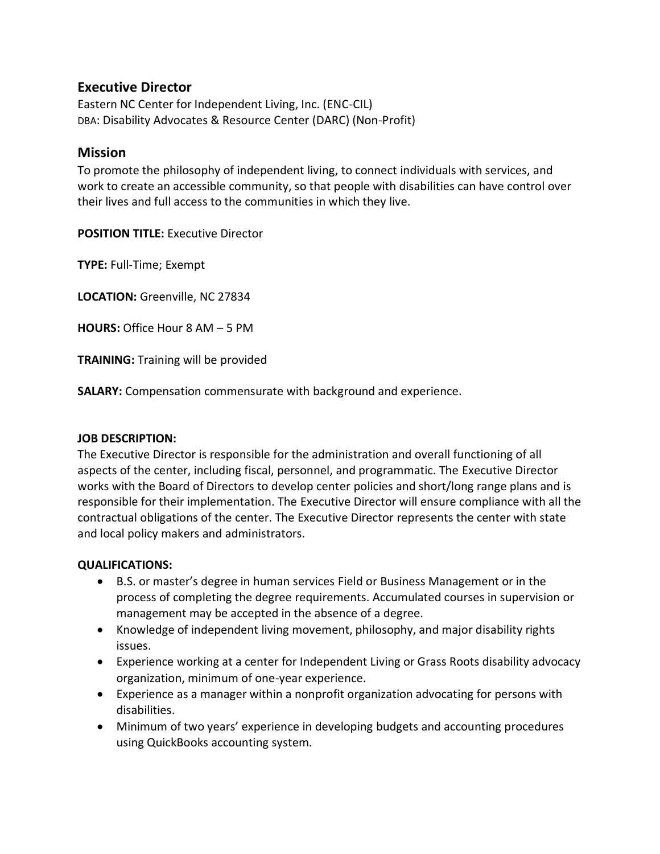# **Executive Director**

Eastern NC Center for Independent Living, Inc. (ENC-CIL) DBA: Disability Advocates & Resource Center (DARC) (Non-Profit)

### **Mission**

To promote the philosophy of independent living, to connect individuals with services, and work to create an accessible community, so that people with disabilities can have control over their lives and full access to the communities in which they live.

**POSITION TITLE:** Executive Director

**TYPE:** Full-Time; Exempt

**LOCATION:** Greenville, NC 27834

**HOURS:** Office Hour 8 AM – 5 PM

**TRAINING:** Training will be provided

**SALARY:** Compensation commensurate with background and experience.

#### **JOB DESCRIPTION:**

The Executive Director is responsible for the administration and overall functioning of all aspects of the center, including fiscal, personnel, and programmatic. The Executive Director works with the Board of Directors to develop center policies and short/long range plans and is responsible for their implementation. The Executive Director will ensure compliance with all the contractual obligations of the center. The Executive Director represents the center with state and local policy makers and administrators.

#### **QUALIFICATIONS:**

- B.S. or master's degree in human services Field or Business Management or in the process of completing the degree requirements. Accumulated courses in supervision or management may be accepted in the absence of a degree.
- Knowledge of independent living movement, philosophy, and major disability rights issues.
- Experience working at a center for Independent Living or Grass Roots disability advocacy organization, minimum of one-year experience.
- Experience as a manager within a nonprofit organization advocating for persons with disabilities.
- Minimum of two years' experience in developing budgets and accounting procedures using QuickBooks accounting system.